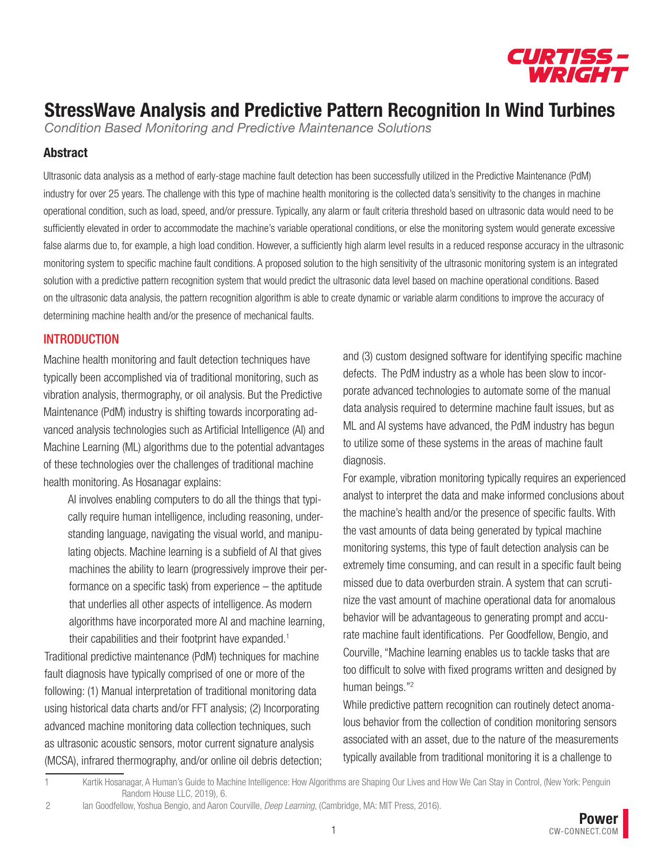

*Condition Based Monitoring and Predictive Maintenance Solutions*

#### Abstract

Ultrasonic data analysis as a method of early-stage machine fault detection has been successfully utilized in the Predictive Maintenance (PdM) industry for over 25 years. The challenge with this type of machine health monitoring is the collected data's sensitivity to the changes in machine operational condition, such as load, speed, and/or pressure. Typically, any alarm or fault criteria threshold based on ultrasonic data would need to be sufficiently elevated in order to accommodate the machine's variable operational conditions, or else the monitoring system would generate excessive false alarms due to, for example, a high load condition. However, a sufficiently high alarm level results in a reduced response accuracy in the ultrasonic monitoring system to specific machine fault conditions. A proposed solution to the high sensitivity of the ultrasonic monitoring system is an integrated solution with a predictive pattern recognition system that would predict the ultrasonic data level based on machine operational conditions. Based on the ultrasonic data analysis, the pattern recognition algorithm is able to create dynamic or variable alarm conditions to improve the accuracy of determining machine health and/or the presence of mechanical faults.

#### INTRODUCTION

Machine health monitoring and fault detection techniques have typically been accomplished via of traditional monitoring, such as vibration analysis, thermography, or oil analysis. But the Predictive Maintenance (PdM) industry is shifting towards incorporating advanced analysis technologies such as Artificial Intelligence (AI) and Machine Learning (ML) algorithms due to the potential advantages of these technologies over the challenges of traditional machine health monitoring. As Hosanagar explains:

AI involves enabling computers to do all the things that typically require human intelligence, including reasoning, understanding language, navigating the visual world, and manipulating objects. Machine learning is a subfield of AI that gives machines the ability to learn (progressively improve their performance on a specific task) from experience – the aptitude that underlies all other aspects of intelligence. As modern algorithms have incorporated more AI and machine learning, their capabilities and their footprint have expanded.<sup>1</sup>

Traditional predictive maintenance (PdM) techniques for machine fault diagnosis have typically comprised of one or more of the following: (1) Manual interpretation of traditional monitoring data using historical data charts and/or FFT analysis; (2) Incorporating advanced machine monitoring data collection techniques, such as ultrasonic acoustic sensors, motor current signature analysis (MCSA), infrared thermography, and/or online oil debris detection; and (3) custom designed software for identifying specific machine defects. The PdM industry as a whole has been slow to incorporate advanced technologies to automate some of the manual data analysis required to determine machine fault issues, but as ML and AI systems have advanced, the PdM industry has begun to utilize some of these systems in the areas of machine fault diagnosis.

For example, vibration monitoring typically requires an experienced analyst to interpret the data and make informed conclusions about the machine's health and/or the presence of specific faults. With the vast amounts of data being generated by typical machine monitoring systems, this type of fault detection analysis can be extremely time consuming, and can result in a specific fault being missed due to data overburden strain. A system that can scrutinize the vast amount of machine operational data for anomalous behavior will be advantageous to generating prompt and accurate machine fault identifications. Per Goodfellow, Bengio, and Courville, "Machine learning enables us to tackle tasks that are too difficult to solve with fixed programs written and designed by human beings."2

While predictive pattern recognition can routinely detect anomalous behavior from the collection of condition monitoring sensors associated with an asset, due to the nature of the measurements typically available from traditional monitoring it is a challenge to

<sup>1</sup> Kartik Hosanagar, A Human's Guide to Machine Intelligence: How Algorithms are Shaping Our Lives and How We Can Stay in Control, (New York: Penguin Random House LLC, 2019), 6.

<sup>2</sup> Ian Goodfellow, Yoshua Bengio, and Aaron Courville, *Deep Learning*, (Cambridge, MA: MIT Press, 2016).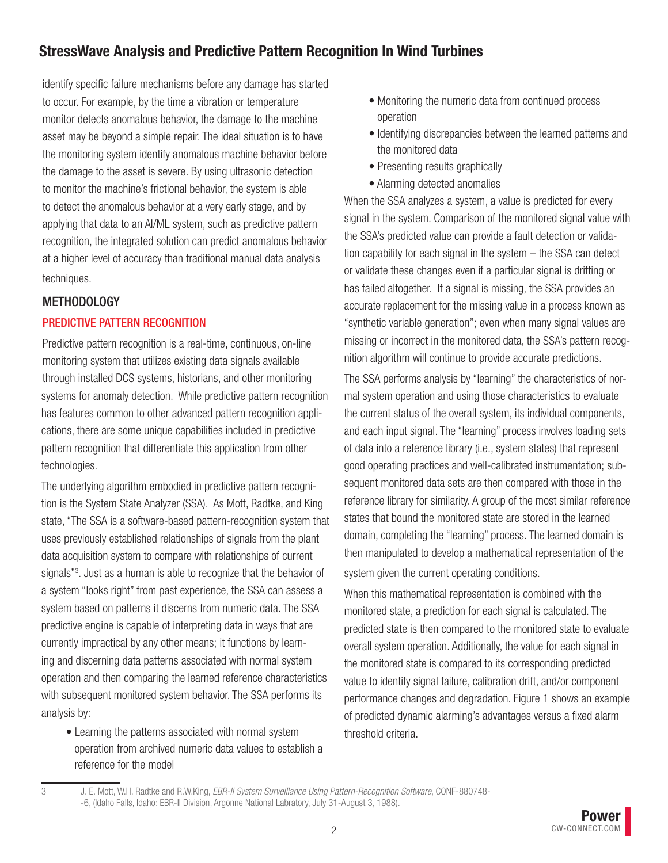identify specific failure mechanisms before any damage has started to occur. For example, by the time a vibration or temperature monitor detects anomalous behavior, the damage to the machine asset may be beyond a simple repair. The ideal situation is to have the monitoring system identify anomalous machine behavior before the damage to the asset is severe. By using ultrasonic detection to monitor the machine's frictional behavior, the system is able to detect the anomalous behavior at a very early stage, and by applying that data to an AI/ML system, such as predictive pattern recognition, the integrated solution can predict anomalous behavior at a higher level of accuracy than traditional manual data analysis techniques.

#### METHODOLOGY

### PREDICTIVE PATTERN RECOGNITION

Predictive pattern recognition is a real-time, continuous, on-line monitoring system that utilizes existing data signals available through installed DCS systems, historians, and other monitoring systems for anomaly detection. While predictive pattern recognition has features common to other advanced pattern recognition applications, there are some unique capabilities included in predictive pattern recognition that differentiate this application from other technologies.

The underlying algorithm embodied in predictive pattern recognition is the System State Analyzer (SSA). As Mott, Radtke, and King state, "The SSA is a software-based pattern-recognition system that uses previously established relationships of signals from the plant data acquisition system to compare with relationships of current signals"3 . Just as a human is able to recognize that the behavior of a system "looks right" from past experience, the SSA can assess a system based on patterns it discerns from numeric data. The SSA predictive engine is capable of interpreting data in ways that are currently impractical by any other means; it functions by learning and discerning data patterns associated with normal system operation and then comparing the learned reference characteristics with subsequent monitored system behavior. The SSA performs its analysis by:

• Learning the patterns associated with normal system operation from archived numeric data values to establish a reference for the model

- Monitoring the numeric data from continued process operation
- Identifying discrepancies between the learned patterns and the monitored data
- Presenting results graphically
- Alarming detected anomalies

When the SSA analyzes a system, a value is predicted for every signal in the system. Comparison of the monitored signal value with the SSA's predicted value can provide a fault detection or validation capability for each signal in the system – the SSA can detect or validate these changes even if a particular signal is drifting or has failed altogether. If a signal is missing, the SSA provides an accurate replacement for the missing value in a process known as "synthetic variable generation"; even when many signal values are missing or incorrect in the monitored data, the SSA's pattern recognition algorithm will continue to provide accurate predictions.

The SSA performs analysis by "learning" the characteristics of normal system operation and using those characteristics to evaluate the current status of the overall system, its individual components, and each input signal. The "learning" process involves loading sets of data into a reference library (i.e., system states) that represent good operating practices and well-calibrated instrumentation; subsequent monitored data sets are then compared with those in the reference library for similarity. A group of the most similar reference states that bound the monitored state are stored in the learned domain, completing the "learning" process. The learned domain is then manipulated to develop a mathematical representation of the system given the current operating conditions.

When this mathematical representation is combined with the monitored state, a prediction for each signal is calculated. The predicted state is then compared to the monitored state to evaluate overall system operation. Additionally, the value for each signal in the monitored state is compared to its corresponding predicted value to identify signal failure, calibration drift, and/or component performance changes and degradation. Figure 1 shows an example of predicted dynamic alarming's advantages versus a fixed alarm threshold criteria.

<sup>3</sup> J. E. Mott, W.H. Radtke and R.W.King, *EBR-II System Surveillance Using Pattern-Recognition Software*, CONF-880748- -6, (Idaho Falls, Idaho: EBR-II Division, Argonne National Labratory, July 31-August 3, 1988).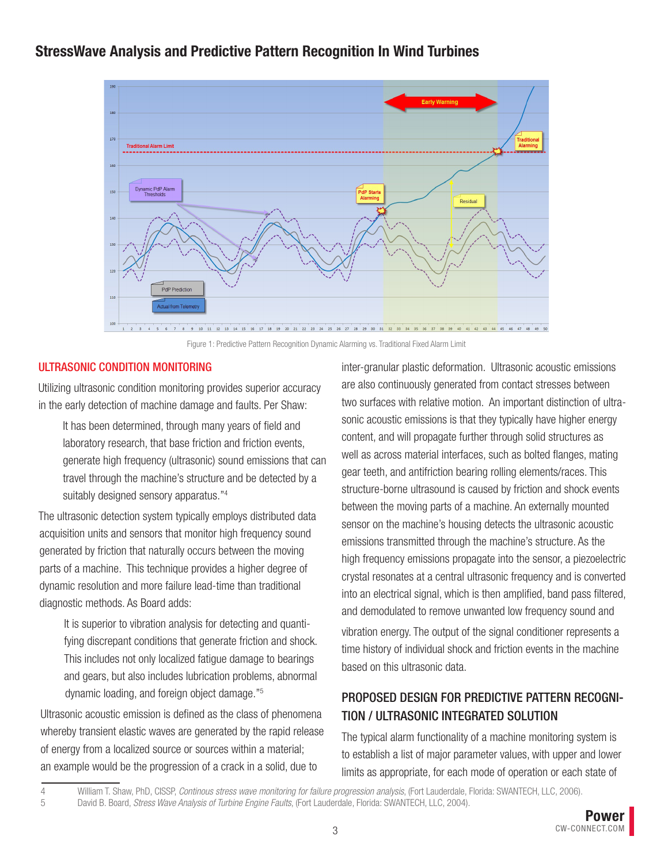

Figure 1: Predictive Pattern Recognition Dynamic Alarming vs. Traditional Fixed Alarm Limit

#### ULTRASONIC CONDITION MONITORING

Utilizing ultrasonic condition monitoring provides superior accuracy in the early detection of machine damage and faults. Per Shaw:

It has been determined, through many years of field and laboratory research, that base friction and friction events, generate high frequency (ultrasonic) sound emissions that can travel through the machine's structure and be detected by a suitably designed sensory apparatus."4

The ultrasonic detection system typically employs distributed data acquisition units and sensors that monitor high frequency sound generated by friction that naturally occurs between the moving parts of a machine. This technique provides a higher degree of dynamic resolution and more failure lead-time than traditional diagnostic methods. As Board adds:

It is superior to vibration analysis for detecting and quantifying discrepant conditions that generate friction and shock. This includes not only localized fatigue damage to bearings and gears, but also includes lubrication problems, abnormal dynamic loading, and foreign object damage."5

Ultrasonic acoustic emission is defined as the class of phenomena whereby transient elastic waves are generated by the rapid release of energy from a localized source or sources within a material; an example would be the progression of a crack in a solid, due to

inter-granular plastic deformation. Ultrasonic acoustic emissions are also continuously generated from contact stresses between two surfaces with relative motion. An important distinction of ultrasonic acoustic emissions is that they typically have higher energy content, and will propagate further through solid structures as well as across material interfaces, such as bolted flanges, mating gear teeth, and antifriction bearing rolling elements/races. This structure-borne ultrasound is caused by friction and shock events between the moving parts of a machine. An externally mounted sensor on the machine's housing detects the ultrasonic acoustic emissions transmitted through the machine's structure. As the high frequency emissions propagate into the sensor, a piezoelectric crystal resonates at a central ultrasonic frequency and is converted into an electrical signal, which is then amplified, band pass filtered, and demodulated to remove unwanted low frequency sound and vibration energy. The output of the signal conditioner represents a time history of individual shock and friction events in the machine based on this ultrasonic data.

## PROPOSED DESIGN FOR PREDICTIVE PATTERN RECOGNI-TION / ULTRASONIC INTEGRATED SOLUTION

The typical alarm functionality of a machine monitoring system is to establish a list of major parameter values, with upper and lower limits as appropriate, for each mode of operation or each state of

<sup>4</sup> William T. Shaw, PhD, CISSP, *Continous stress wave monitoring for failure progression analysis*, (Fort Lauderdale, Florida: SWANTECH, LLC, 2006).

<sup>5</sup> David B. Board, *Stress Wave Analysis of Turbine Engine Faults*, (Fort Lauderdale, Florida: SWANTECH, LLC, 2004).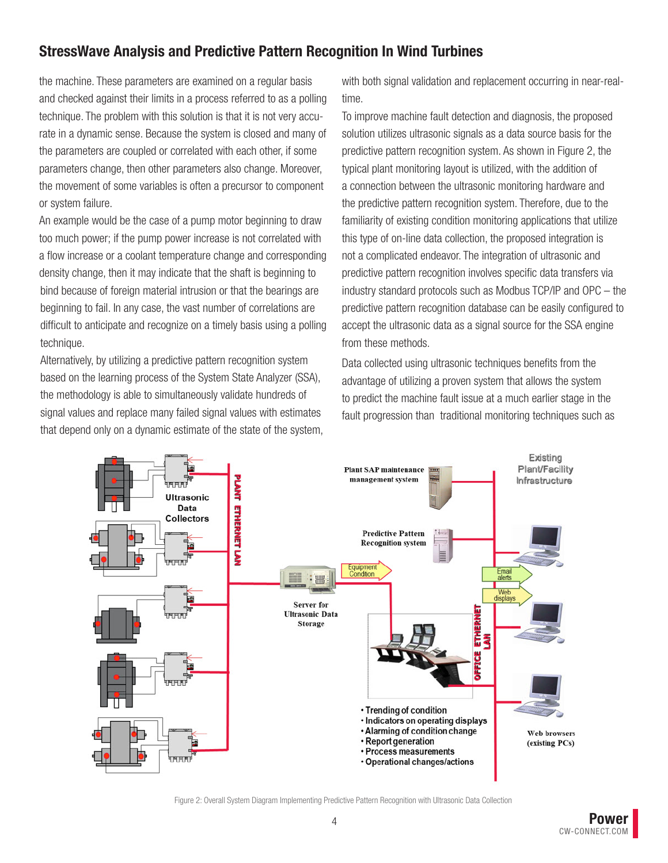the machine. These parameters are examined on a regular basis and checked against their limits in a process referred to as a polling technique. The problem with this solution is that it is not very accurate in a dynamic sense. Because the system is closed and many of the parameters are coupled or correlated with each other, if some parameters change, then other parameters also change. Moreover, the movement of some variables is often a precursor to component or system failure.

An example would be the case of a pump motor beginning to draw too much power; if the pump power increase is not correlated with a flow increase or a coolant temperature change and corresponding density change, then it may indicate that the shaft is beginning to bind because of foreign material intrusion or that the bearings are beginning to fail. In any case, the vast number of correlations are difficult to anticipate and recognize on a timely basis using a polling technique.

Alternatively, by utilizing a predictive pattern recognition system based on the learning process of the System State Analyzer (SSA), the methodology is able to simultaneously validate hundreds of signal values and replace many failed signal values with estimates that depend only on a dynamic estimate of the state of the system, with both signal validation and replacement occurring in near-realtime.

To improve machine fault detection and diagnosis, the proposed solution utilizes ultrasonic signals as a data source basis for the predictive pattern recognition system. As shown in Figure 2, the typical plant monitoring layout is utilized, with the addition of a connection between the ultrasonic monitoring hardware and the predictive pattern recognition system. Therefore, due to the familiarity of existing condition monitoring applications that utilize this type of on-line data collection, the proposed integration is not a complicated endeavor. The integration of ultrasonic and predictive pattern recognition involves specific data transfers via industry standard protocols such as Modbus TCP/IP and OPC – the predictive pattern recognition database can be easily configured to accept the ultrasonic data as a signal source for the SSA engine from these methods.

Data collected using ultrasonic techniques benefits from the advantage of utilizing a proven system that allows the system to predict the machine fault issue at a much earlier stage in the fault progression than traditional monitoring techniques such as



Figure 2: Overall System Diagram Implementing Predictive Pattern Recognition with Ultrasonic Data Collection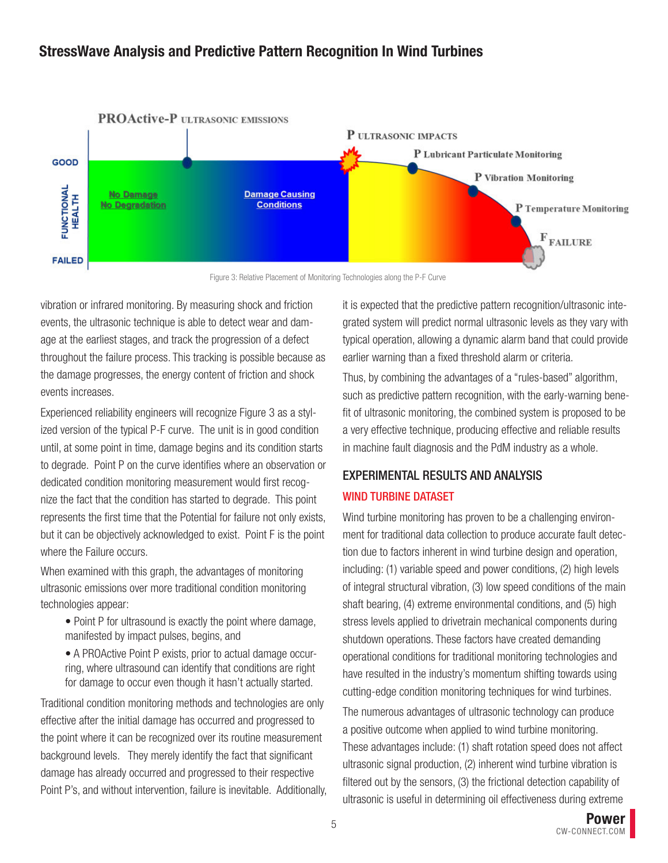

Figure 3: Relative Placement of Monitoring Technologies along the P-F Curve

vibration or infrared monitoring. By measuring shock and friction events, the ultrasonic technique is able to detect wear and damage at the earliest stages, and track the progression of a defect throughout the failure process. This tracking is possible because as the damage progresses, the energy content of friction and shock events increases.

Experienced reliability engineers will recognize Figure 3 as a stylized version of the typical P-F curve. The unit is in good condition until, at some point in time, damage begins and its condition starts to degrade. Point P on the curve identifies where an observation or dedicated condition monitoring measurement would first recognize the fact that the condition has started to degrade. This point represents the first time that the Potential for failure not only exists, but it can be objectively acknowledged to exist. Point F is the point where the Failure occurs.

When examined with this graph, the advantages of monitoring ultrasonic emissions over more traditional condition monitoring technologies appear:

- Point P for ultrasound is exactly the point where damage, manifested by impact pulses, begins, and
- A PROActive Point P exists, prior to actual damage occurring, where ultrasound can identify that conditions are right for damage to occur even though it hasn't actually started.

Traditional condition monitoring methods and technologies are only effective after the initial damage has occurred and progressed to the point where it can be recognized over its routine measurement background levels. They merely identify the fact that significant damage has already occurred and progressed to their respective Point P's, and without intervention, failure is inevitable. Additionally, it is expected that the predictive pattern recognition/ultrasonic integrated system will predict normal ultrasonic levels as they vary with typical operation, allowing a dynamic alarm band that could provide earlier warning than a fixed threshold alarm or criteria.

Thus, by combining the advantages of a "rules-based" algorithm, such as predictive pattern recognition, with the early-warning benefit of ultrasonic monitoring, the combined system is proposed to be a very effective technique, producing effective and reliable results in machine fault diagnosis and the PdM industry as a whole.

## EXPERIMENTAL RESULTS AND ANALYSIS WIND TURBINE DATASET

Wind turbine monitoring has proven to be a challenging environment for traditional data collection to produce accurate fault detection due to factors inherent in wind turbine design and operation, including: (1) variable speed and power conditions, (2) high levels of integral structural vibration, (3) low speed conditions of the main shaft bearing, (4) extreme environmental conditions, and (5) high stress levels applied to drivetrain mechanical components during shutdown operations. These factors have created demanding operational conditions for traditional monitoring technologies and have resulted in the industry's momentum shifting towards using cutting-edge condition monitoring techniques for wind turbines.

The numerous advantages of ultrasonic technology can produce a positive outcome when applied to wind turbine monitoring. These advantages include: (1) shaft rotation speed does not affect ultrasonic signal production, (2) inherent wind turbine vibration is filtered out by the sensors, (3) the frictional detection capability of ultrasonic is useful in determining oil effectiveness during extreme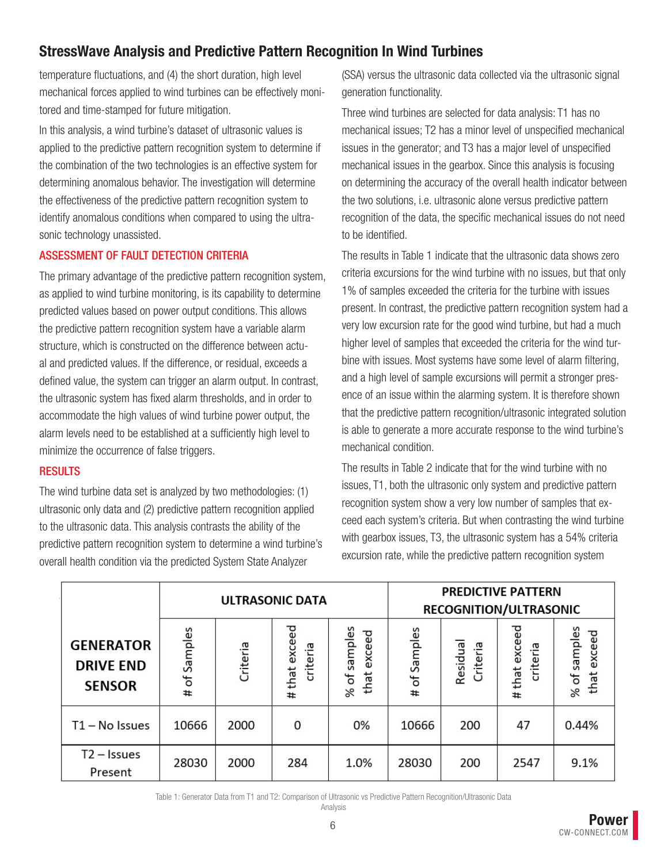temperature fluctuations, and (4) the short duration, high level mechanical forces applied to wind turbines can be effectively monitored and time-stamped for future mitigation.

In this analysis, a wind turbine's dataset of ultrasonic values is applied to the predictive pattern recognition system to determine if the combination of the two technologies is an effective system for determining anomalous behavior. The investigation will determine the effectiveness of the predictive pattern recognition system to identify anomalous conditions when compared to using the ultrasonic technology unassisted.

### ASSESSMENT OF FAULT DETECTION CRITERIA

The primary advantage of the predictive pattern recognition system, as applied to wind turbine monitoring, is its capability to determine predicted values based on power output conditions. This allows the predictive pattern recognition system have a variable alarm structure, which is constructed on the difference between actual and predicted values. If the difference, or residual, exceeds a defined value, the system can trigger an alarm output. In contrast, the ultrasonic system has fixed alarm thresholds, and in order to accommodate the high values of wind turbine power output, the alarm levels need to be established at a sufficiently high level to minimize the occurrence of false triggers.

#### **RESULTS**

The wind turbine data set is analyzed by two methodologies: (1) ultrasonic only data and (2) predictive pattern recognition applied to the ultrasonic data. This analysis contrasts the ability of the predictive pattern recognition system to determine a wind turbine's overall health condition via the predicted System State Analyzer

(SSA) versus the ultrasonic data collected via the ultrasonic signal generation functionality.

Three wind turbines are selected for data analysis: T1 has no mechanical issues; T2 has a minor level of unspecified mechanical issues in the generator; and T3 has a major level of unspecified mechanical issues in the gearbox. Since this analysis is focusing on determining the accuracy of the overall health indicator between the two solutions, i.e. ultrasonic alone versus predictive pattern recognition of the data, the specific mechanical issues do not need to be identified.

The results in Table 1 indicate that the ultrasonic data shows zero criteria excursions for the wind turbine with no issues, but that only 1% of samples exceeded the criteria for the turbine with issues present. In contrast, the predictive pattern recognition system had a very low excursion rate for the good wind turbine, but had a much higher level of samples that exceeded the criteria for the wind turbine with issues. Most systems have some level of alarm filtering, and a high level of sample excursions will permit a stronger presence of an issue within the alarming system. It is therefore shown that the predictive pattern recognition/ultrasonic integrated solution is able to generate a more accurate response to the wind turbine's mechanical condition.

The results in Table 2 indicate that for the wind turbine with no issues, T1, both the ultrasonic only system and predictive pattern recognition system show a very low number of samples that exceed each system's criteria. But when contrasting the wind turbine with gearbox issues, T3, the ultrasonic system has a 54% criteria excursion rate, while the predictive pattern recognition system

|                                                       |                   |          | <b>ULTRASONIC DATA</b>          |                                | <b>PREDICTIVE PATTERN</b><br>RECOGNITION/ULTRASONIC |                     |                              |                             |
|-------------------------------------------------------|-------------------|----------|---------------------------------|--------------------------------|-----------------------------------------------------|---------------------|------------------------------|-----------------------------|
| <b>GENERATOR</b><br><b>DRIVE END</b><br><b>SENSOR</b> | Samples<br>ъ<br># | Criteria | exceed<br>criteria<br>that<br># | of samples<br>that exceed<br>% | Samples<br>Ⴆ<br>#                                   | Residua<br>Criteria | that exceed<br>criteria<br># | % of samples<br>that exceed |
| $T1 - No$ Issues                                      | 10666             | 2000     | 0                               | 0%                             | 10666                                               | 200                 | 47                           | 0.44%                       |
| $T2 - I$ ssues<br>Present                             | 28030             | 2000     | 284                             | 1.0%                           | 28030                                               | 200                 | 2547                         | 9.1%                        |

Table 1: Generator Data from T1 and T2: Comparison of Ultrasonic vs Predictive Pattern Recognition/Ultrasonic Data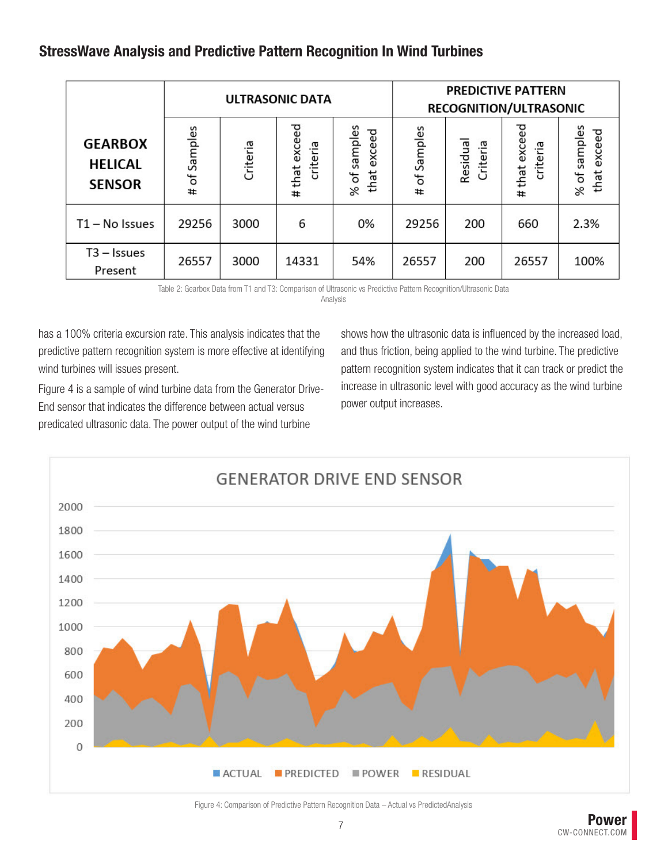|                                                   |                    |          | <b>ULTRASONIC DATA</b>          |                                               | <b>PREDICTIVE PATTERN</b><br>RECOGNITION/ULTRASONIC |                     |                              |                                  |
|---------------------------------------------------|--------------------|----------|---------------------------------|-----------------------------------------------|-----------------------------------------------------|---------------------|------------------------------|----------------------------------|
| <b>GEARBOX</b><br><b>HELICAL</b><br><b>SENSOR</b> | Samples<br>ъf<br># | Criteria | exceed<br>criteria<br>that<br># | of samples<br>exceed<br>that<br>$\frac{8}{2}$ | # of Samples                                        | Residua<br>Criteria | that exceed<br>criteria<br># | samples<br>that exceed<br>$%$ of |
| $T1 - No$ Issues                                  | 29256              | 3000     | 6                               | 0%                                            | 29256                                               | 200                 | 660                          | 2.3%                             |
| $T3 - Issues$<br>Present                          | 26557              | 3000     | 14331                           | 54%                                           | 26557                                               | 200                 | 26557                        | 100%                             |

Table 2: Gearbox Data from T1 and T3: Comparison of Ultrasonic vs Predictive Pattern Recognition/Ultrasonic Data

Analysis

has a 100% criteria excursion rate. This analysis indicates that the predictive pattern recognition system is more effective at identifying wind turbines will issues present.

Figure 4 is a sample of wind turbine data from the Generator Drive-End sensor that indicates the difference between actual versus predicated ultrasonic data. The power output of the wind turbine

shows how the ultrasonic data is influenced by the increased load, and thus friction, being applied to the wind turbine. The predictive pattern recognition system indicates that it can track or predict the increase in ultrasonic level with good accuracy as the wind turbine power output increases.



Figure 4: Comparison of Predictive Pattern Recognition Data – Actual vs PredictedAnalysis